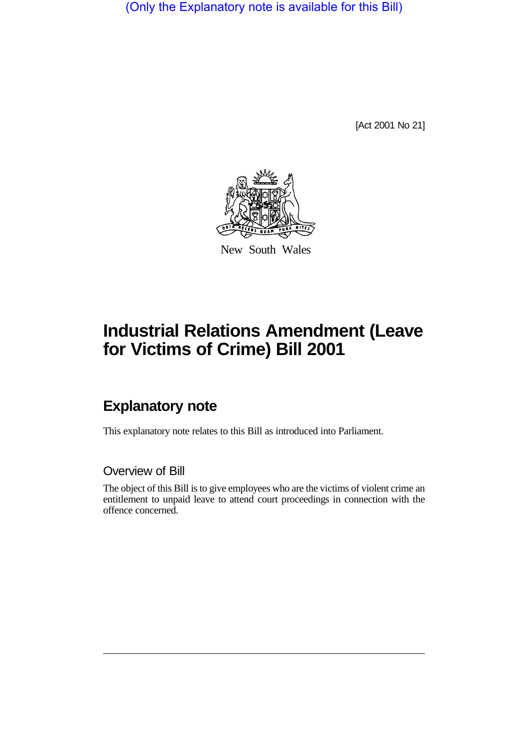(Only the Explanatory note is available for this Bill)

[Act 2001 No 21]



New South Wales

## **Industrial Relations Amendment (Leave for Victims of Crime) Bill 2001**

## **Explanatory note**

This explanatory note relates to this Bill as introduced into Parliament.

## Overview of Bill

The object of this Bill is to give employees who are the victims of violent crime an entitlement to unpaid leave to attend court proceedings in connection with the offence concerned.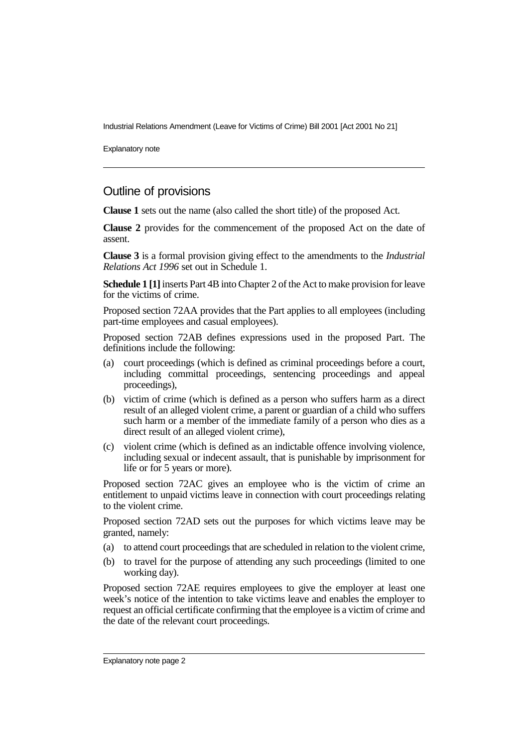Industrial Relations Amendment (Leave for Victims of Crime) Bill 2001 [Act 2001 No 21]

Explanatory note

## Outline of provisions

**Clause 1** sets out the name (also called the short title) of the proposed Act.

**Clause 2** provides for the commencement of the proposed Act on the date of assent.

**Clause 3** is a formal provision giving effect to the amendments to the *Industrial Relations Act 1996* set out in Schedule 1.

**Schedule 1 [1]** inserts Part 4B into Chapter 2 of the Act to make provision for leave for the victims of crime.

Proposed section 72AA provides that the Part applies to all employees (including part-time employees and casual employees).

Proposed section 72AB defines expressions used in the proposed Part. The definitions include the following:

- (a) court proceedings (which is defined as criminal proceedings before a court, including committal proceedings, sentencing proceedings and appeal proceedings),
- (b) victim of crime (which is defined as a person who suffers harm as a direct result of an alleged violent crime, a parent or guardian of a child who suffers such harm or a member of the immediate family of a person who dies as a direct result of an alleged violent crime),
- (c) violent crime (which is defined as an indictable offence involving violence, including sexual or indecent assault, that is punishable by imprisonment for life or for 5 years or more).

Proposed section 72AC gives an employee who is the victim of crime an entitlement to unpaid victims leave in connection with court proceedings relating to the violent crime.

Proposed section 72AD sets out the purposes for which victims leave may be granted, namely:

- (a) to attend court proceedings that are scheduled in relation to the violent crime,
- (b) to travel for the purpose of attending any such proceedings (limited to one working day).

Proposed section 72AE requires employees to give the employer at least one week's notice of the intention to take victims leave and enables the employer to request an official certificate confirming that the employee is a victim of crime and the date of the relevant court proceedings.